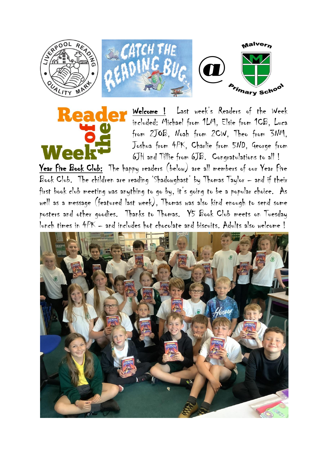

Reader Welcome ! Last week's Readers of the Week included: Michael from 1LM, Elsie from 1CB, Luca from 2JOB, Noah from 2CW, Theo from 3NM, Joshua from 4PK, Charlie from 5ND, George from 6JH and Tillie from 6JB. Congratulations to all !

Year Five Book Club: The happy readers (below) are all members of our Year Five Book Club. The children are reading 'Shadowghast' by Thomas Taylor – and if their first book club meeting was anything to go by, it's going to be a popular choice. As well as a message (featured last week), Thomas was also kind enough to send some posters and other goodies. Thanks to Thomas. Y5 Book Club meets on Tuesday lunch times in 4PK – and includes hot chocolate and biscuits. Adults also welcome !

Wee